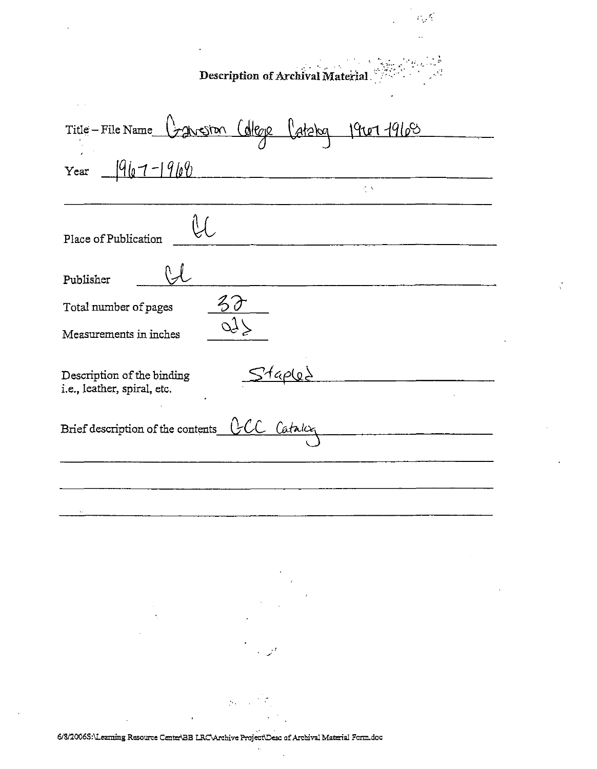| $\mathcal{L}_{\text{tot}}(\mathcal{E})$                                     |
|-----------------------------------------------------------------------------|
| Description of Archival Material.                                           |
| Title-File Name Gaveston College Catalog 1900-19108                         |
| $1967 - 1968$<br>Year<br>$\frac{1}{2}$ , $\frac{1}{2}$                      |
| Place of Publication                                                        |
| Publisher                                                                   |
| Total number of pages<br>Measurements in inches                             |
| <u>'Iaplod</u><br>Description of the binding<br>i.e., leather, spiral, etc. |
| Brief description of the contents (CC Catalog                               |
|                                                                             |
|                                                                             |
| $\sim$ 10 $\,$                                                              |
|                                                                             |

÷,

6/8/2006S:\Learning Resource Center\BB LRC\Archive Project\Desc of Archival Material Form.doc

 $\ddot{\phantom{0}}$ 

 $\label{eq:2} \frac{1}{2} \mathcal{L}_{\text{max}} = \frac{1}{2} \mathcal{L}_{\text{max}}^2$ 

 $\mathcal{A}_1$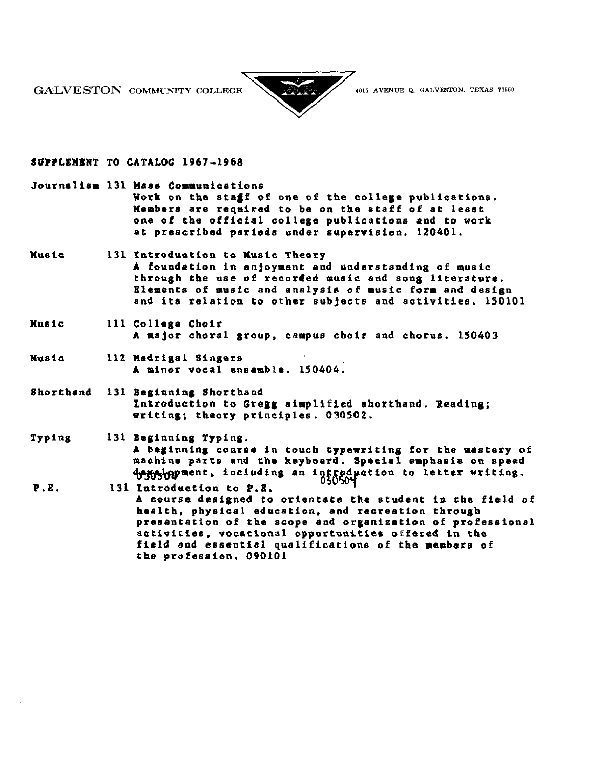$GALVESTON$  COMMUNITY COLLEGE  $\bigvee_{4015}$  AVENUE Q, GALVESTON, TEXAS 77550



#### **SGPPLgMSNT TO CATALOG 1967-1968**

## Journalism 131 Mass Communications Work on the staff of one of the college publications. Members are required to be on Che staff of st least one of the official college publications and to work at prescribed periods under supervision. 120401.

- Music 131 Introduction to Music Theory A foundation in enjoyment end understanding of music through the use of recorded music and song literature. glements of music and analysis of music form and design and its relation to other subjects and activities. 150101
- Music 111Collese Choir A major chorel group, campus choir and chorus. 150403
- Music 112 Madrigal Singers A minor vocal ensemble. 150404.
- Shorthand 131 Beginning Shorthand Introduction to Gregg simplified shorthand. Reading; writing; theory principles. 030502.

Typing 131 Beginning Typing. A beginning course in touch typewriting for the mastery of machine parts and the keyboard. Special emphasis on speed destesion ment, including an introduction to letter writing.

**P.E, 131** 131 Introduction to P.E. A course designed to orientate the student in the field of health, physical education, and recreation through presentation of the scope and organization of professional activities, vocational opportunities offered in the field end essential qualifications of the members of the profession. 090101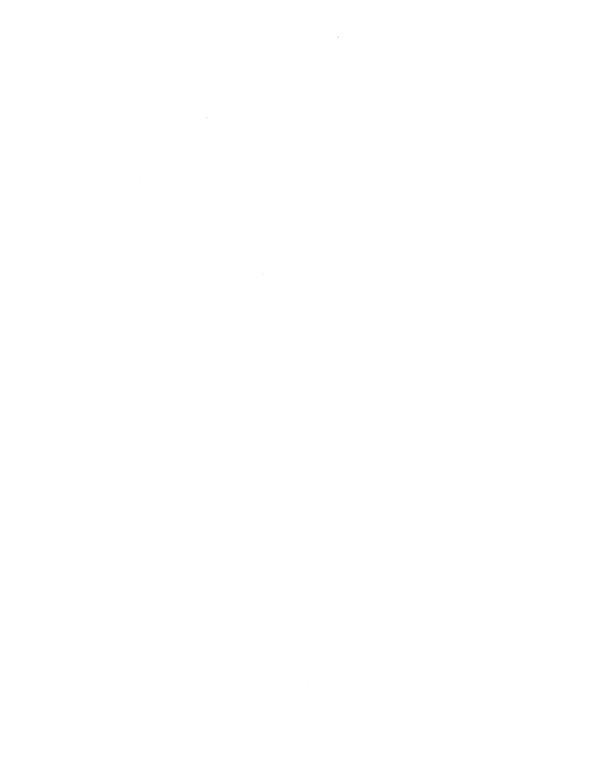$\label{eq:2.1} \frac{1}{\sqrt{2}}\int_{\mathbb{R}^3}\frac{1}{\sqrt{2}}\left(\frac{1}{\sqrt{2}}\right)^2\frac{1}{\sqrt{2}}\left(\frac{1}{\sqrt{2}}\right)^2\frac{1}{\sqrt{2}}\left(\frac{1}{\sqrt{2}}\right)^2\frac{1}{\sqrt{2}}\left(\frac{1}{\sqrt{2}}\right)^2.$  $\label{eq:2.1} \frac{1}{\sqrt{2}}\int_{0}^{\infty}\frac{1}{\sqrt{2\pi}}\left(\frac{1}{\sqrt{2\pi}}\right)^{2\alpha} \frac{1}{\sqrt{2\pi}}\int_{0}^{\infty}\frac{1}{\sqrt{2\pi}}\left(\frac{1}{\sqrt{2\pi}}\right)^{\alpha} \frac{1}{\sqrt{2\pi}}\frac{1}{\sqrt{2\pi}}\int_{0}^{\infty}\frac{1}{\sqrt{2\pi}}\frac{1}{\sqrt{2\pi}}\frac{1}{\sqrt{2\pi}}\frac{1}{\sqrt{2\pi}}\frac{1}{\sqrt{2\pi}}\frac{1}{\sqrt{2\pi}}$  $\label{eq:2.1} \frac{1}{\sqrt{2}}\int_{\mathbb{R}^3}\frac{1}{\sqrt{2}}\left(\frac{1}{\sqrt{2}}\right)^2\frac{1}{\sqrt{2}}\left(\frac{1}{\sqrt{2}}\right)^2\frac{1}{\sqrt{2}}\left(\frac{1}{\sqrt{2}}\right)^2\frac{1}{\sqrt{2}}\left(\frac{1}{\sqrt{2}}\right)^2.$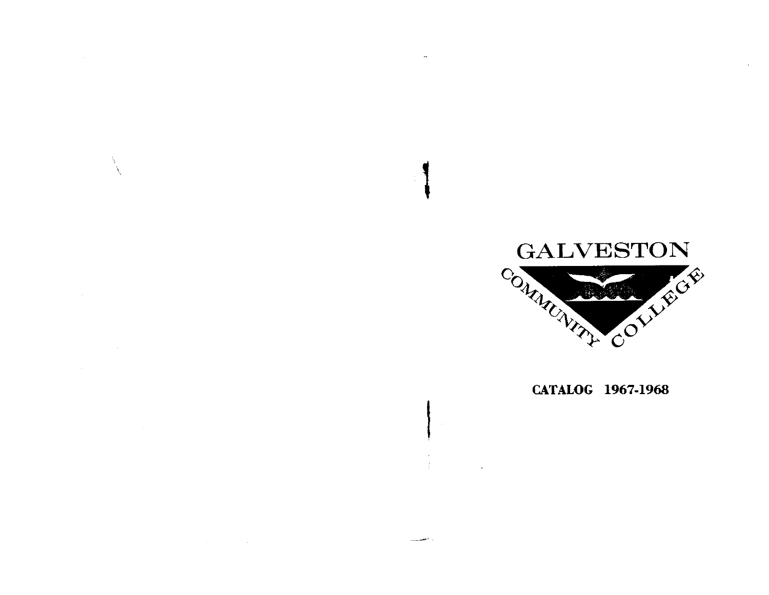# $\mathcal{H}^+$ Ñ

 $\sim 10^7$ 

 $\sim 10^{-1}$ 

GALVESTON SOLUME

 $\mathcal{L}$ 

 $\sim$ 

 $\mathbb{C}^2$ 

المعسب

 $\mathcal{L}$ 

CATALOG 1967-1968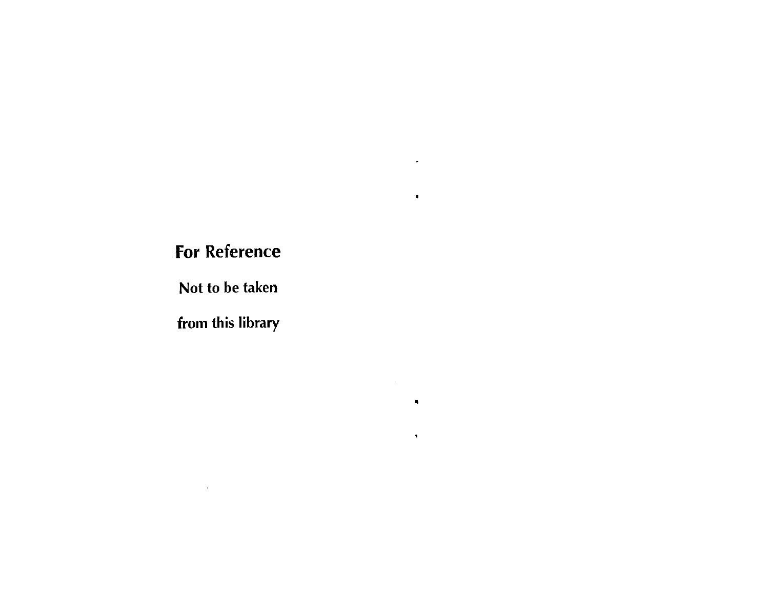# **For Reference**

 $\bullet$ 

 $\bullet$ 

 $\sim$   $^{-1}$ 

 $\spadesuit$ 

 $\bullet$ 

Not to be taken

from this library

 $\sim 100$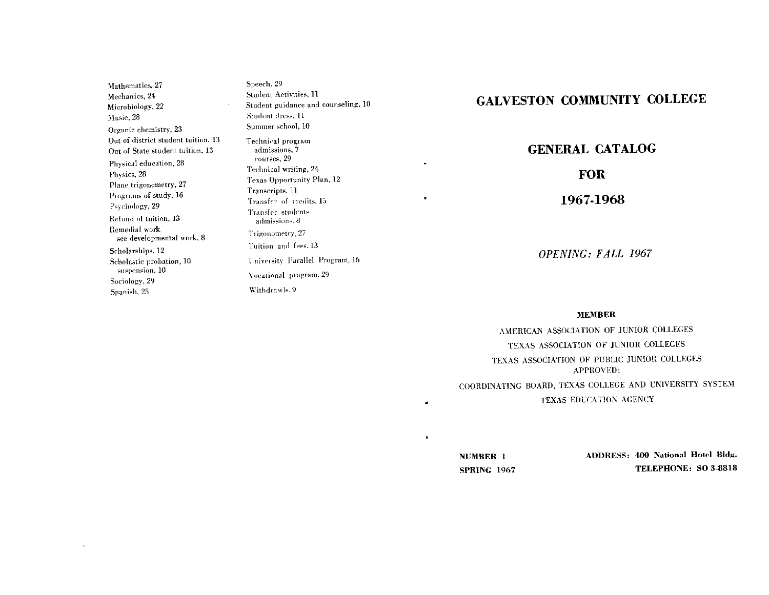Mathematics, 27 Mechanics, 24 Microbiology, 22 Music, 28 Organic chemistry, 23 Out of district student tuition, 13 Out of State student tuition, 13 PhysicaI education, 28 Physics, 28 Plane trigonometry, 27 Programs of study, 16 Psychology, 29 Refund of tuition, 13 Remedial work see developmental work, 8 Scholarships, 12 Scholastic probation, 10 suspension, 10 Sociology, 29 Spanish, 25

Speech, 29 Student Activities, 11 Student guidance and counseling, 10 Student dress, 11 Summer school, 10 Technical program admissions, 7 courses, 29 Technical writing, 24 Texas Opportunity Plan, 12 Transcripts, 11 Transfer of credits, 15 Transfer students admissions, 8 Trigonometry, 27 Tuition and lees, 13 University Parallel Program, 16 Vocational program, 29 Withdrawls, 9

## **GALVESTON COMMUNITY COLLEGE**

**GENERAL CATALOG**

**FOR**

**196%1968**

*OPENING: FALL 1967*

#### **MEMBER**

AMERICAN ASSOCIATION OF JUNIOR COLLEGES TEXAS ASSOCIATION OF JUNIOR COLLEGES TEXAS ASSOCIATION OF PUBLIC JUNIOR COLLEGES APPROVED: COORDINATING BOARD, TEXAS COLLEGE AND UNIVERSITY SYSTEM TEXAS EDUCATION AGENCY

 $\blacksquare$ 

 $\bullet$ 

 $\bullet$ 

**NUMBER 1 ADDRESS: 400 National Hotel Bldg. SPRING 1967 TELEPHONE: SO 3-8818**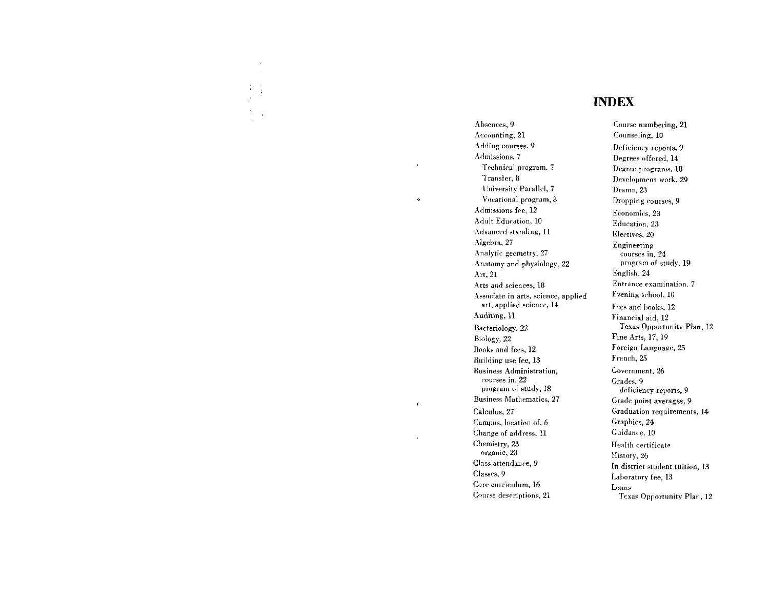# $\mathcal{Z}^{\mathbb{C}}$  $\overline{1}$

Absences, 9 Accounting, 21 Adding courses, 9 Admissions, 7 Technical program, 7 Transfer, 8 I niversity Parallel, 7 Vocational program, 8 Admissions fee, 12 Adult Education, 10 Advanced standing, 11 Algebra, 27 Analytic geometry, 27 Anatomy and physiology, 22 Art, 21 Arts and sciences, 18 Associate in arts, science, applied art, applied science, 14 Auditing, 11 Bacteriology, 22 Biology, 22 Books and fees, 12 Building use fee, I3 Business Administration,<br>courses in, 22 program of study, 18 Business Mathematics, 27 Calculus, 27 Campus, location of, 6 Change of address, 11 Chemistry, 23 organic, 23 Class attendance, 9 Classes, 9 Core curriculum, 16 Course descriptions, 21

 $\ddot{\phantom{a}}$ 

 $\epsilon$ 

## **INDEX**

Course numbering, 21 Counseling, 10 Deficiency reports, 9 Degrees offered, 14 Degree programs, 18 Development work, 29 Drama, 23 Dropping courses, 9 Eoonomics, 23 Education, 23 Electives, 20 Engineering courses in, 24 program of study, 19 English, 24 Entrance examination, 7 Evening school. 10 Fees and hooks. 12 Financial aid, 12 Texas Opportunity Plan, 12 Fine Arts, 17, 19 Foreign Language, 25 French, 25 Government, 26 Grades. 9 deficiency reports, 9 Grade point averages, 9 Graduation requirements, 14 Graphics, 24 Guidance, 10 Health certificate History, 26 In district student tuition, 13 Laboratory fee, 13 Loans Texas Opportunity Plan. 12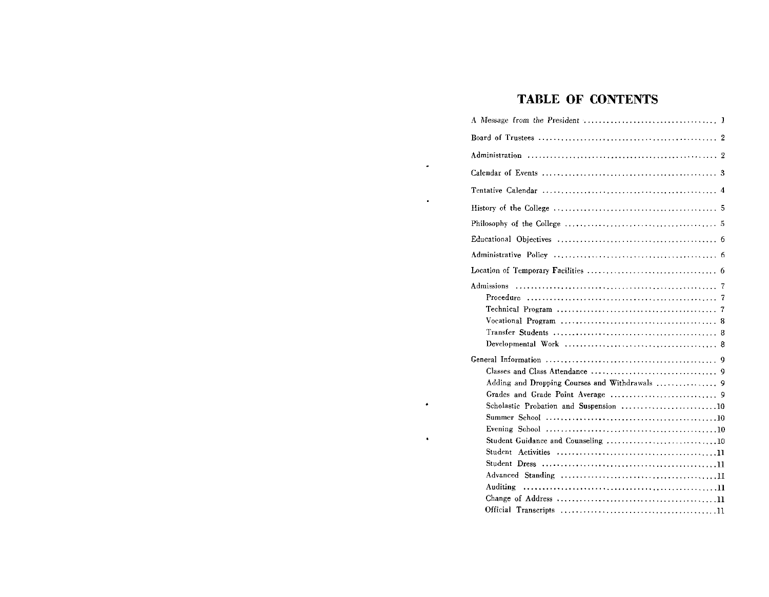# TABLE OF CONTENTS

 $\ddot{\phantom{1}}$ 

 $\bullet$ 

 $\bullet$ 

| Admissions                             |
|----------------------------------------|
| Scholastic Probation and Suspension 10 |
|                                        |
|                                        |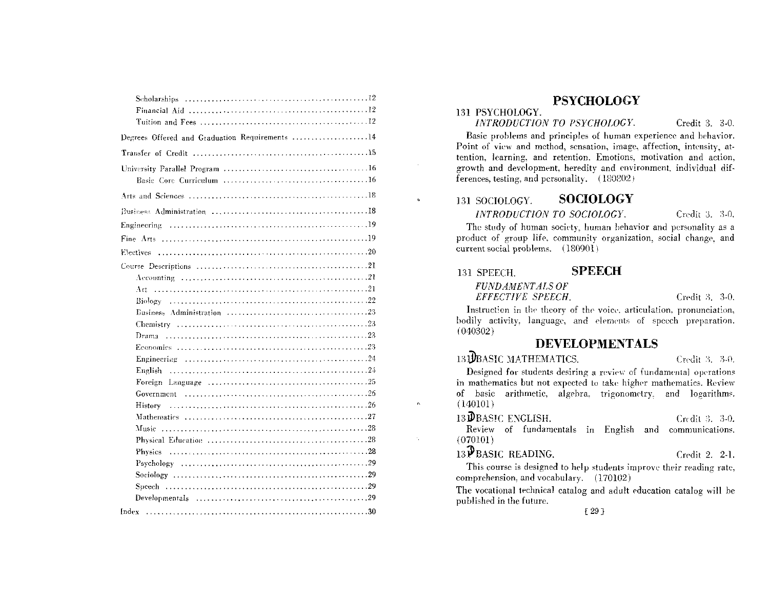| Degrees Offered and Graduation Requirements 14 |
|------------------------------------------------|
|                                                |
|                                                |
|                                                |
|                                                |
|                                                |
|                                                |
|                                                |
|                                                |
|                                                |
|                                                |
|                                                |
|                                                |
|                                                |
| Drama                                          |
|                                                |
|                                                |
| English                                        |
|                                                |
|                                                |
| History                                        |
|                                                |
|                                                |
|                                                |
|                                                |
|                                                |
|                                                |
|                                                |
|                                                |
|                                                |

## **PSYCHOLOGY**

## 131 PSYCHOLOGY.

**i** 

 $\sim$ 

 $\mathcal{A}_1$ 

INTRODUCTION TO PSYCHOLOGY.

Credit 3, 3-0.

Basic problems and principles of human experience and behavior. Point of view and method, sensation, image, affection, intensity, attention, learning, and retention. Emotions, motivation and action, growth and development, heredity and environment, individual differences, testing, and personality. (180202)

#### **SOCIOLOGY** 131 SOCIOLOGY.

#### INTRODUCTION TO SOCIOLOGY. Credit 3, 3-0.

The study of human society, human behavior and personality as a product of group life, community organization, social change, and current social problems. (180901)

#### **SPEECH** 131 SPEECH.

**FUNDAMENTALS OF** EFFECTIVE SPEECH.

Credit 3, 3-0.

Instruction in the theory of the voice, articulation, pronunciation, bodily activity, language, and elements of speech preparation.  $(040302)$ 

## **DEVELOPMENTALS**

## 131 BASIC MATHEMATICS.

Credit 3, 3-0.

Designed for students desiring a review of fundamental operations in mathematics but not expected to take higher mathematics. Review of basic arithmetic, algebra, trigonometry, and logarithms.  $(140101)$ 

#### 13 PBASIC ENGLISH.

Credit 3, 3-0.

Review of fundamentals in English and communications.  $(070101)$ 

# 13 $\mathbf{P}_{\text{BASIC READING}}$

Credit 2. 2-1.

This course is designed to help students improve their reading rate, comprehension, and vocabulary. (170102)

The vocational technical catalog and adult education catalog will be published in the future.

 $[29]$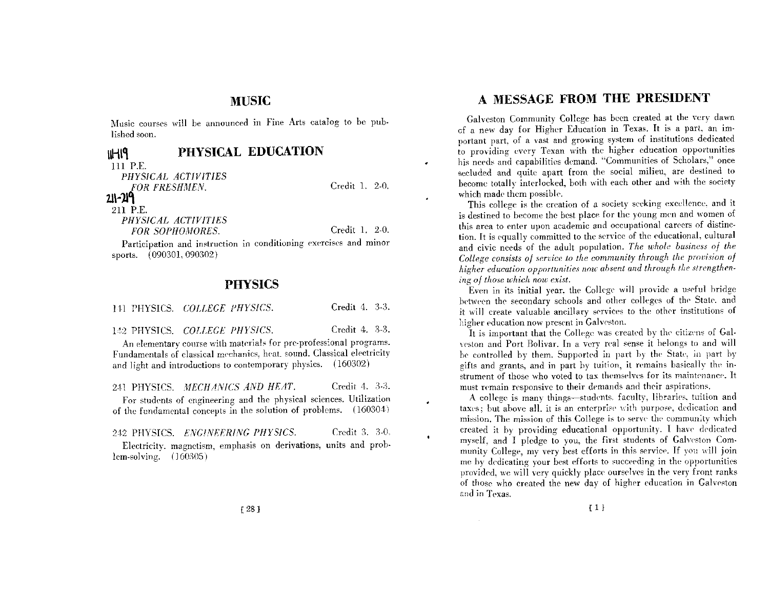## **MUSIC**

Music courses will be announced in Fine Arts catalog to be published soon.

| 1119     | PHYSICAL EDUCATION                                                |                |
|----------|-------------------------------------------------------------------|----------------|
| 111 P.E. |                                                                   |                |
|          | PHYSICAL ACTIVITIES                                               | Credit 1. 2-0. |
|          | FOR FRESHMEN.                                                     |                |
| 211 P.E. |                                                                   |                |
|          | PHYSICAL ACTIVITIES                                               |                |
|          | <b>FOR SOPHOMORES.</b>                                            | Credit 1. 2-0. |
|          | Participation and instruction in conditioning exercises and minor |                |

sports. (090301, 090302)

## **PHYSICS**

| 141 PHYSICS. <i>COLLEGE PHYSICS</i> . | Credit 4, 3-3. |
|---------------------------------------|----------------|
|---------------------------------------|----------------|

1~2 PHYSICS. *COLLEGE PHYSICS.* Credit 4. 3-3.

An elementary course with materials for pre-professional programs. Fundamentals of classical mechanics, heat. sound. Classical electricity<br>and light and introductions to contemporary physics. (160302) and light and introductions to contemporary physics.

241 PHYSICS. *MECHANICS AND HEAT*. Credit 4. 3-3. For students of engineering and the physical sciences. Utilization of the fundamental concepts in the solution of problems. (160304)

2!2 PHYSICS. *ENGINEERING PHYSICS.* Credit 3. 3-0, Electricity. magnetism, emphasis on derivations, units and prohlem-solving.  $(160305)$ 

# **A MESSAGE FROM THE PRESIDENT**

Galveston Community College has been created at the very dawn ¢f a new day for Higher Education in Texas. It is a part, an important part, of a vast and growing system of institutions dedicated to providing every Texan with the higher education opportunities his needs and capabilities demand. "Communities of Scholars," once secluded and quite apart from the social milieu, are destined to become totally interlocked, both with each other and with the society which made them possible.

 $\overline{a}$ 

This college is the creation of a society seeking excellence, and it is destined to become the best place for the young men and women of this area to enter upon academic and occupational careers of distinction. It is equally committed to the service of the educational, cultural and civic needs of the adult population. The whole business of the College consists of service to the community through the provision of higher education opportunities now absent and through the strengthen*ing of those which now exist.*

Even in its initial year. the College will provide a useful bridge between the secondary schools and other colleges of the State. and it will create valuable ancillary services to the other institutions of higher education now present in Galveston.

It is important that the College was created by the citizens of Galveston and Port Bolivar. In a very real sense it belongs to and will he controlled by them. Supported in part by the State, in part by gifts and grants, and in part by tuition, it remains basically the instrument of those who voted to tax themselves for its maintenance. It must remain responsive to their demands and their aspirations.

A college is many things—students, faculty, libraries, tuition and taxes; but above all. it is an enterprise with purpose, dedication and mission. The mission of this College is to serve the community which created it by providing educational opportunity. I have dedicated myself, and I pledge to you, the first students of Galveston Community College, my very best efforts in this service. If you will join me by dedicating your best efforts to succeeding in the opportunities provided, we will very quickly place ourselves in the very front ranks of those who created the new day of higher education in Galveston and in Texas.

 $f1$ 

 $\sim$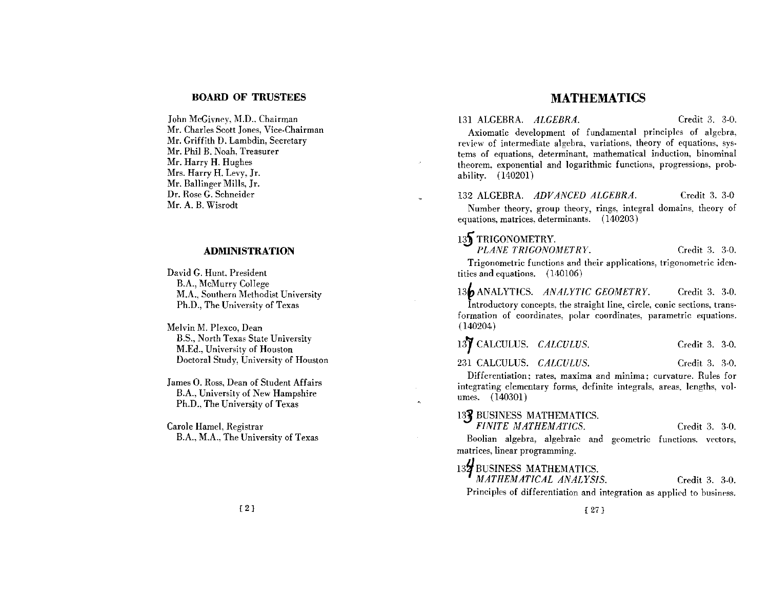#### **BOARD OF TRUSTEES**

John McGivney, M.D.. Chairman Mr. Charles Scott Jones, Vice-Chairman Mr. Griffith D. Lambdin, Secretary Mr. Phil B. Noah, Treasurer Mr. Harry H. Hughes Mrs. Harry H. Levy, Jr. Mr. Ballinger Mills, Jr. Dr. Rose G. Schneider Mr. A. B. Wisrodt

#### **ADMINISTRATION**

David G. Hunt, President B.A., McMurry ColIege M.A., Southern Methodist University Ph.D., The University of Texas

Melvin M. Plexco, Dean B.S., North Texas State University M.Ed., University of Houston Doctoral Study, University of Houston

James O. Ross, Dean of Student Affairs B.A., University of New Hampshire Ph.D., The University of Texas

Carole Hamel, Registrar B.A., M.A., The University of Texas

## **MATHEMATICS**

131 ALGEBRA. *ALGEBRA*. Credit 3. 3-0.

Axiomatic development of fundamental principles of algebra, review of intermediate algebra, variations, theory of equations, systems of equations, determinant, mathematical induction, binominal theorem, exponential and logarithmic functions, progressions, probability. (140201)

~.32 ALGEBRA. *ADVANCED ALGEBRA.* Credit 3. 3-0 Number theory, group theory, rings, integral domains, theory of equations, matrices, determinants. (140203)

## 13**)** TRIGONOMETRY.

*PLANE TRIGONOMETRY*. Credit 3. 3-0.

Trigonometric functions and their applications, trigonometric identities and equations. (140106)

13<sup>6</sup> ANALYTICS. *ANALYTIC GEOMETRY*. Credit 3. 3-0. Introductory concepts, the straight line, circle, conic sections, transformation of coordinates, polar coordinates, parametric equations. (140204)

13**7** CALCULUS. *CALCULUS*. Credit 3. 3-0.

#### 231 CALCULUS. *CALCULUS.* Credit 3. 3-0.

Differentiation; rates, maxima and minima; curvature. Rules for integrating elementary forms, definite integrals, areas, lengths, volumes. (140301)

## 133 BUSINESS MATHEMATICS.

 $\ddot{\phantom{1}}$ 

*FINITE MATHEMATICS.* Credit 3. 3-0.

Boolian algebra, algebraic and geometric functions, vectors, matrices, linear programming.

# 13**7** BUSINESS MATHEMATICS.

*MATHEMATICAL ANALYSIS.* Credit 3. 3-0.

Principles of differentiation and integration as applied to business.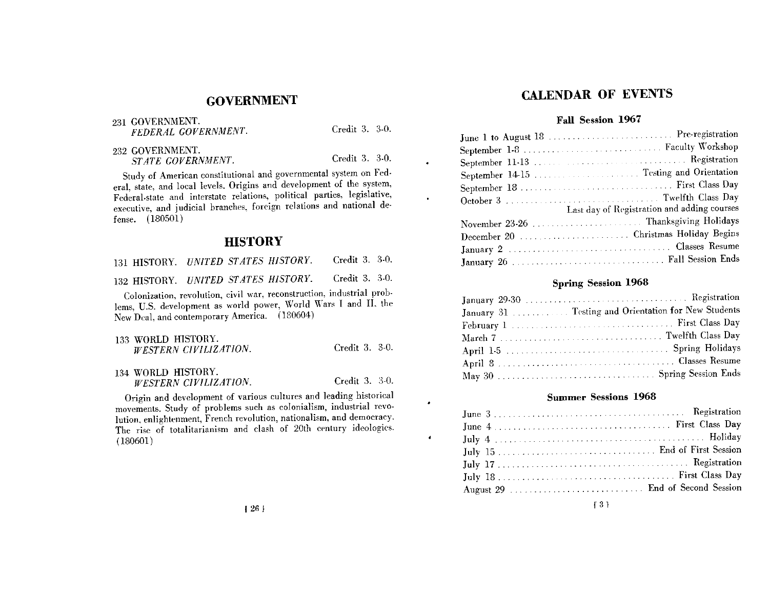## **GOVERNMENT**

| 231 GOVERNMENT.<br>FEDERAL GOVERNMENT. | Credit 3. 3-0. |  |
|----------------------------------------|----------------|--|
| 200 COUPDABLATE                        |                |  |

## 232 GOVERNMENT.

SUPPRIMENT. COVERNMENT. Credit 3. 3-0.

 $\bullet$ 

 $\overline{a}$ 

Study of American constitutional and governmental system on Federal, state, and local levels. Origins and development of the system, Federal-state and interstate relations, political parties, legislative, executive, and judicial branches, foreign relations and national defense. (180501)

## **HISTORY**

| 131 HISTORY. UNITED STATES HISTORY.                | Credit 3. 3.0.                                                                                                                           |
|----------------------------------------------------|------------------------------------------------------------------------------------------------------------------------------------------|
| 132 HISTORY. UNITED STATES HISTORY. Credit 3. 3-0. |                                                                                                                                          |
| New Deal, and contemporary America. (180604)       | Colonization, revolution, civil war, reconstruction, industrial prob-<br>lems, U.S. development as world power, World Wars I and II. the |

| 133 WORLD HISTORY.           |                |  |
|------------------------------|----------------|--|
| <i>WESTERN CIVILIZATION.</i> | Credit 3, 3-0. |  |

#### 134 WORLD HISTORY. *WESTERN CIVILIZATION.* Credit 3. 3-0.

Origin and development of various cultures and leading historical movements. Study of problems such as colonialism, industrial revolution, enlightenment, French revolution, nationalism, and democracy. The rise of totalitarianism and clash of 20th century ideologies.  $(180601)$ 

# **CALENDAR OF EVENTS**

#### **Fall Session 1967**

| June 1 to August 18  Pre-registration |                                             |
|---------------------------------------|---------------------------------------------|
|                                       |                                             |
|                                       |                                             |
|                                       |                                             |
|                                       |                                             |
|                                       |                                             |
|                                       | Last day of Registration and adding courses |
|                                       |                                             |
|                                       |                                             |
|                                       |                                             |
|                                       |                                             |

#### **Spring Session 1968**

| January 31  Testing and Orientation for New Students |
|------------------------------------------------------|
|                                                      |
|                                                      |
|                                                      |
|                                                      |
|                                                      |

#### **Summer Sessions 1968**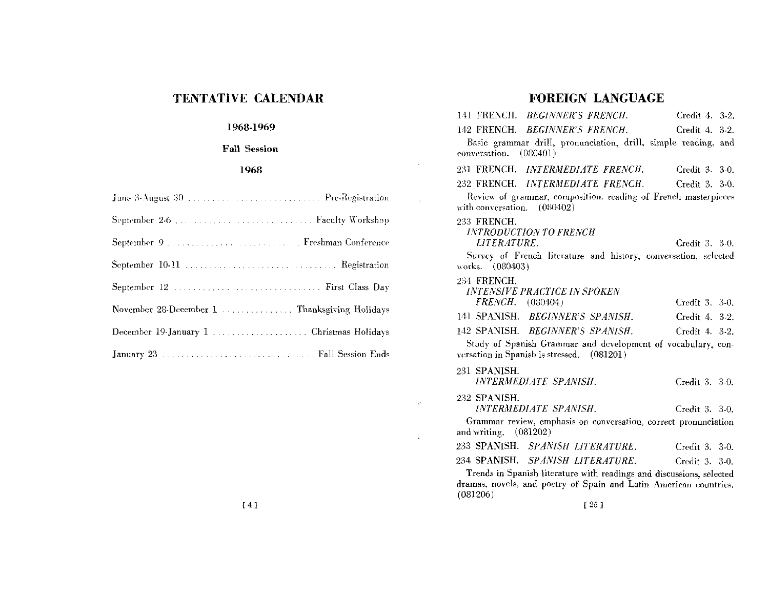# **TENTATIVE CALENDAR**

## 1968.1969

## **Fall Session**

## **196g**

 $\mathcal{L}^{\mathcal{L}}$ 

 $\mathcal{L}$ 

 $\mathcal{L}^{\mathcal{L}}$ 

 $\infty$ 

| December 19-January 1  Christmas Holidays |
|-------------------------------------------|
|                                           |

# **FOREIGN LANGUAGE**

| 141 FRENCH. BEGINNER'S FRENCH.                                                                             | Credit 4. 3-2. |  |
|------------------------------------------------------------------------------------------------------------|----------------|--|
| 142 FRENCH. BEGINNER'S FRENCH.                                                                             | Credit 4. 3-2. |  |
| Basic grammar drill, pronunciation, drill, simple reading, and<br>conversation. (080401)                   |                |  |
| 231 FRENCH. INTERMEDIATE FRENCH.                                                                           | Credit 3. 3-0. |  |
|                                                                                                            |                |  |
| 232 FRENCH. INTERMEDIATE FRENCH.                                                                           | Credit 3. 3-0. |  |
| Review of grammar, composition, reading of French masterpieces<br>with conversation. (080402)              |                |  |
| 233 FRENCH.                                                                                                |                |  |
| <b>INTRODUCTION TO FRENCH</b>                                                                              |                |  |
| LITERATURE.                                                                                                | Credit 3. 3.0. |  |
| Survey of French literature and history, conversation, selected<br>works. (080403)                         |                |  |
| 234 FRENCH.                                                                                                |                |  |
| <b>INTENSIVE PRACTICE IN SPOKEN</b>                                                                        |                |  |
| $FRENCH.$ (080404)                                                                                         | Credit 3, 30,  |  |
| 141 SPANISH. BEGINNER'S SPANISH.                                                                           | Credit 4. 3.2. |  |
| 142 SPANISH. BEGINNER'S SPANISH.                                                                           | Credit 4. 3-2. |  |
| Study of Spanish Grammar and development of vocabulary, con-<br>versation in Spanish is stressed. (081201) |                |  |
| 231 SPANISH.                                                                                               |                |  |
| <i><b>INTERMEDIATE SPANISH.</b></i>                                                                        | Credit 3. 3-0. |  |
| 232 SPANISH.                                                                                               |                |  |
| INTERMEDIATE SPANISH.                                                                                      | Credit 3. 3-0. |  |
| Grammar review, emphasis on conversation, correct pronunciation<br>and writing. $(081202)$                 |                |  |
| 233 SPANISH. SPANISH LITERATURE.                                                                           | Credit 3, 3-0. |  |
| 234 SPANISH. SPANISH LITERATURE.                                                                           | Credit 3. 3-0. |  |
| Trends in Spanish literature with readings and discussions, selected                                       |                |  |
| dramas, novels, and poetry of Spain and Latin American countries.<br>(081206)                              |                |  |
| $\{25\}$                                                                                                   |                |  |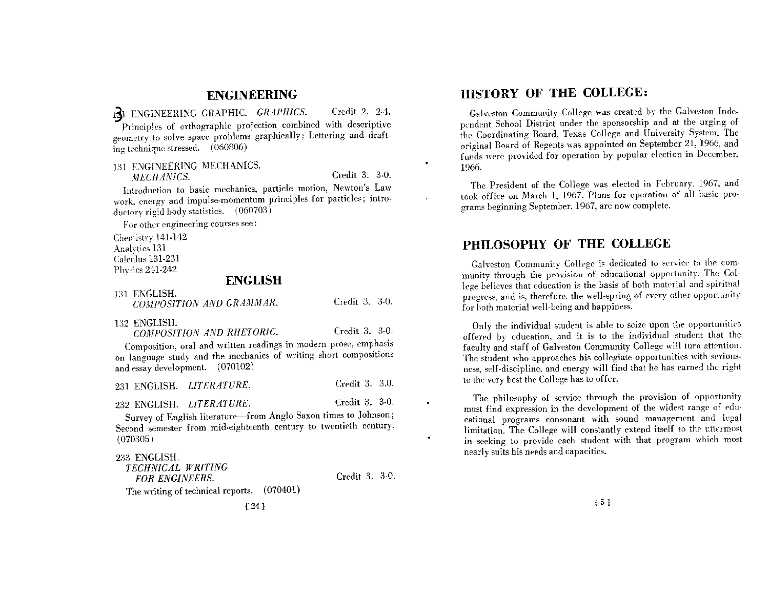## **ENGINEERING**

1<sup>2</sup>1 ENGINEERING GRAPHIC. *GRAPHICS*. Credit 2. 2-4. Principles of orthographic projection combined with descriptive geometry to solve space problems graphically; Lettering and drafting technique stressed. (060806)

#### 131 ENGINEERING MECHANICS. *MECHANICS.* Credit 3. 3-0.

Introduction to basic mechanics, particle motion, Newton's Law work. energy and impulse-momentum principles for particles; introductory rigid body statistics. (060703)

For other engineering courses see:

Chemistry 1d1-142 Analyties 131 Calculus 131-231 Physics 241-242

## **ENGLISH**

131 ENGLISH. *COMPOSITION AND GRAMMAR.* Credit 3. 3-0.

132 ENGLISH.

*COMPOSITION AND RHETORIC.* Credit 3. 3-0.

Composition, oral and written readings in modern prose, emphasis on language study and the mechanics of writing short compositions and essay development. (070102)

231 ENGLISH. *LITERATURE.* Credit 3. 3.0.

232 ENGLISH. *LITERATURE.* Credit 3. 3-0.

Survey of English literature-from Anglo Saxon times to Johnson; Second semester from mid-elghteenth century to twentieth century. (070305)

## 233 ENGLISH. *TECHNICAL WRITING FOR ENGINEERS.* Credit 3. 3-0.

The writing of technical reports. (070401\_)

 $\bullet$ 

# **HISTORY OF THE COLLEGE:**

Galveston Community College was created by the Galveston Independent SchooI District under the sponsorship and at the urging of the Coordinating Board, Texas College and University System. The original Board of Regents was appointed on September 21, 1966, and funds were provided for operation by popular election in December, 1966.

The President of the College was elected in February. 1967, and took office on March 1, 1967. Plans for operation of all basic programs beginning September, 1967, arc now complete.

# **PHILOSOPHY OF THE COLLEGE**

Galveston Community College is dedicated to service to the community through the provision of educational opportunity. The College believes that education is the basis of both material and spiritual progress, and is, therefore, the well-spring of every other opportunity for both material well-being and happiness.

Only the individual student is able to seize upon the opportunities offered by education, and it is to the individual student that the faculty and staff of Galveston Community College will turn attention. The student who approaches his collegiate opportunities with seriousness, self-discipline, and energy will find that he has earned the right to the very best the College has to offer.

The philosophy of service through the provision of opportunity must find expression in the development of the widest range of educational programs consonant with sound management and legal limitation. The College will constantly extend itself to the uttermost in seeking to provide each student with that program which most nearly suits his needs and capacities.

 $+5$  }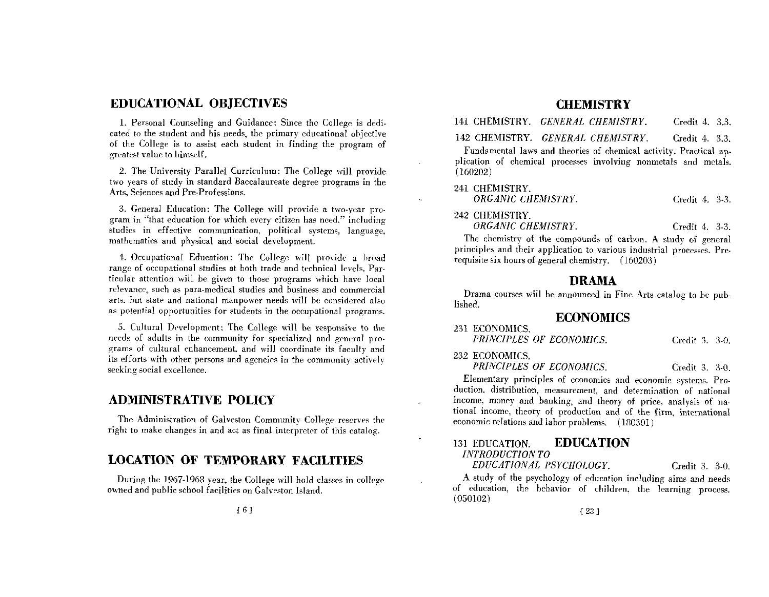## **EDUCATIONAL OBJECTIVES**

1. Personal Counseling and Guidance: Since the College is dedicated to the student and his needs, the primary educational objective of the College is to assist each student in finding the program of greatest value to himself.

2. The University Parallel Curriculum: The College will provide two years of study in standard Baccalaureate degree programs in the Arts, Sciences and Pre-Professions.

3. General Education: The College will provide a two-year program in "that education for which every citizen has need." including studies in effective communication, political systems, language, mathematics and physical and social development,

4. Occupational Education: The College will provide a broad range of occupational studies at both trade and technical levels. Particular attention will be given to thosc programs which have local relevance, such as para-medical studies and business and commercial arts. but state and national manpower needs will he considered also as potential opportunities for students in the occupational programs.

5. Cultural Development: The College will be responsive to the needs of adults in the community for specialized and general programs of cultural enhancement, and will coordinate its faculty and its efforts with other persons and agencies in the community actively seeking social excellence.

## **ADMINISTRATIVE POLICY**

Tbe Administration of Galveston Community College reserves the right to make changes in and act as final interpreter of this catalog.

## **LOCATION OF TEMPORARY FACILITIES**

During the 1967-1968 year, the College will bold classes in college owned and public school facilities on Galveston Island.

## **CHEMISTRY**

|--|

142 CHEMISTRY. *GENERAL CHEMISTRY*. Credit 4. 3.3.

Fundamental laws and theories of chemical activity. Practical application of chemical processes involving nonmetals and metals. (160202)

241 CHEMISTRY.

*ORGANIC CHEMISTRY*. Credit 4. 3-3.

#### 242 CHEMISTRY.

*ORGANIC CHEMISTRY*. Credit 4. 3-3.

The chemistry of the compounds of carbon. A study of general principles and their application to various industrial processes. Prerequisite six hours of general chemistry. (I60203)

### **DRAMA**

Drama courses will be announced in Fine Arts catalog to be published.

## **ECONOMICS**

| 231 ECONOMICS.           |  |                |  |
|--------------------------|--|----------------|--|
| PRINCIPLES OF ECONOMICS. |  | Credit 3, 3-0. |  |

232 ECONOMICS.

*PRINCIPLES OF ECONOMICS.* Credit 3, 3-0.

Elementary principles of economics and economic systems. Production, distribution, measurement, and determination of national income, money and banking, and theory of price, analysis of national income, theory of production and of the firm, international economic relations and labor problems. (180301)

### 131 EDUCATION. **EDUCATION** *INTRODUCTION TO*

*EDUCATIONAL PSYCHOLOGY.* Credit 3. 3-0.

A study of the psychology of education including aims and needs of education, the behavior of children, the learning process.  $(050102)$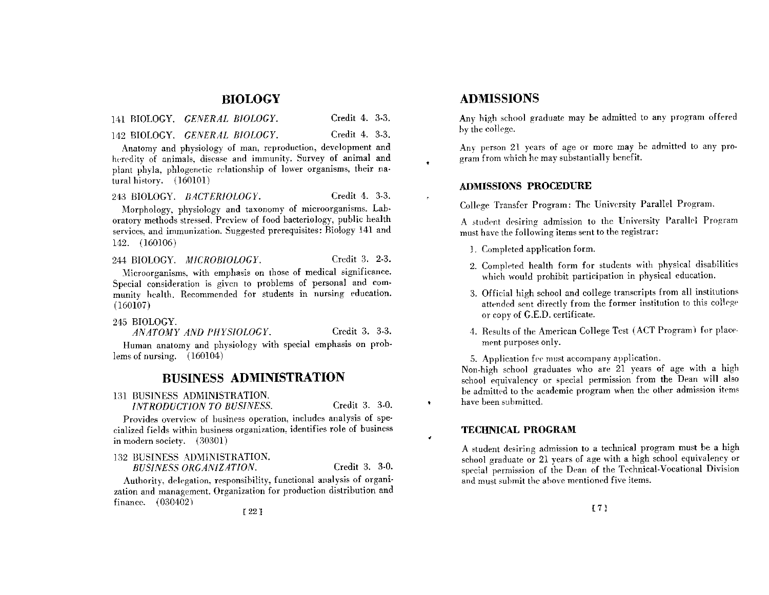## **BIOLOGY**

141 BIOLOGY. *GENERAL BIOLOGY.* Credit 4. 3-3,

142 BIOLOGY. *GENERAL BIOLOGY.* Credit 4. 3-3.

Anatomy and physiology of man, reproduction, development and heredity of animals, disease and immunity. Survey of animal and plant phyla, phlogenetic relationship of lower organisms, their natural history. (160101)

243 BIOLOGY. *BACTERIOLOGY.* Credit 4. 3-3.

Morphology, physiology and taxonomy of microorganisms. Laboratory methods stressed. Prcview of food bacteriology, public health services: and immunization. Suggested prerequisites: Biology 141 and 142. (160106)

244 BIOLOGY. *MICROBIOLOGY.* Credit 3. 2-3.

 $\bullet$ 

 $\bullet$ 

Microorganisms, with emphasis on those of medical significance. Special consideration is given to problems of personal and community health. Recommended for students in nursing education. (160107)

#### 245 BIOLOGY.

*ANATOMY AND PHYSIOLOGY.* Credit 3. 3-3.

Human anatomy and physiology with special emphasis on problems of nursing. (160104)

## **BUSINESS ADMINISTRATION**

#### 131 BUSINESS ADMINISTRATION.

*INTRODUCTION TO BUSINESS.* Credit 3. 3-0.

Provides overview of business operation, includes analysis of specialized fields within business organization, identifies role of business in modern society. (30301)

#### 132 BUSINESS ADMINISTRATION. *BUSINESS ORGANIZATION.* Credit 3. 3-0.

Authority, delegation, responsibility, functional analysis of organization and management. Organization for production distribution and finance. (030402)

## **ADMISSIONS**

Any high school graduate may be admitted to any program offered by the college.

Any person 21 years of age or more may be admitted to any program from which he may substantially benefit.

#### **ADMISSIONS PROCEDURE**

College Transfer Program: The University Parallel Program.

A student desiring admission to the University Parallel Program must have the following items sent to the registrar:

- l. Completed application form.
- 2. Completed health form for students with physical disabilities which would prohibit participation in physical education.
- 3. Official high school and college transcripts from all institutions attended sent directly from the former institution to this college or copy of G.E.D. certificate.
- 4. Results of the American College Test (ACT Program/ for placement purposes only.

5. Application fee must accompany application.

Non-high school graduates who are 21 years of age with a high school equivalency or special permission from the Dean will also be admitted to the academic program when the other admission items have been submitted.

#### **TECHNICAL PROGRAM**

A student desiring admission to a technical program must be a high school graduate or 21 years of age with a high school equivalency or special permission of the Dean of the Technical-Vocational Division and must suhmit the above mentioned five items.

[22]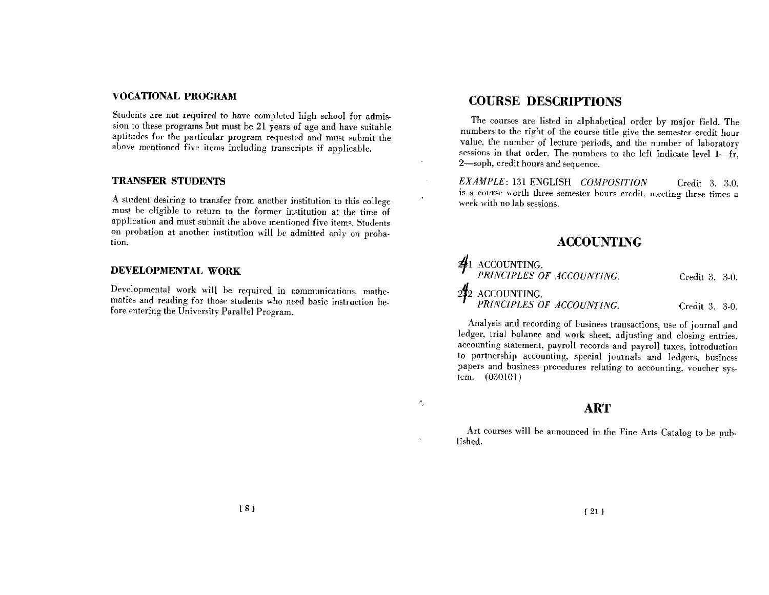#### **VOCATIONAL PROGRAM**

Students are not required to have completed high school for admission to these programs but must be  $21$  years of age and have suitable aptitudes for the particular program requested and must submit the above mentioned five items including transcripts if applicable.

#### **TRANSFER STUDENTS**

A student desiring to transfer from another institution to this college must be eligible to return to the former institution at the time of application and must submit the above mentioned five items. Students on probation at another institution will be admitted only on probation.

#### **DEVELOPMENTAL WORK**

Developmental work will be required in communications, mathematics and reading for those students who need basic instruction before entering the University Parallel Program.

## **COURSE DESCRIPTIONS**

The courses are listed in alphabetical order by major field. The numbers to the right of the course title give the semester credit hour value, the number of lecture periods, and the number of laboratory sessions in that order. The numbers to the left indicate level  $1-fr$ , 2--soph, credit hours and sequence.

*EXAMPLE:* I31 ENGLISH *COMPOSITION* Credit 3. 3.0. is a course worth three semester hours credit, meeting three times a week with no lab sessions.

## **ACCOUNTING**

# **zp**i accounting. *PRINCIPLES OF ACCOUNTING.* Credit 3. 3-0. 272 ACCOUNTING. *PRINCIPLES OF ACCOUNTING.* Credit 3. 3-0.

Analysis and recording of business transactions, use of journal and ledger, trial balance and work sheet, adjusting and closing entries, accounting statement, payroll records and payroll taxes, introduction to partnership accounting, special journals and ledgers, business papers and business procedures relating to accounting, voucher system. (030101)

## **ART**

Art courses will be announced in the Fine Arts Catalog to be published.

A,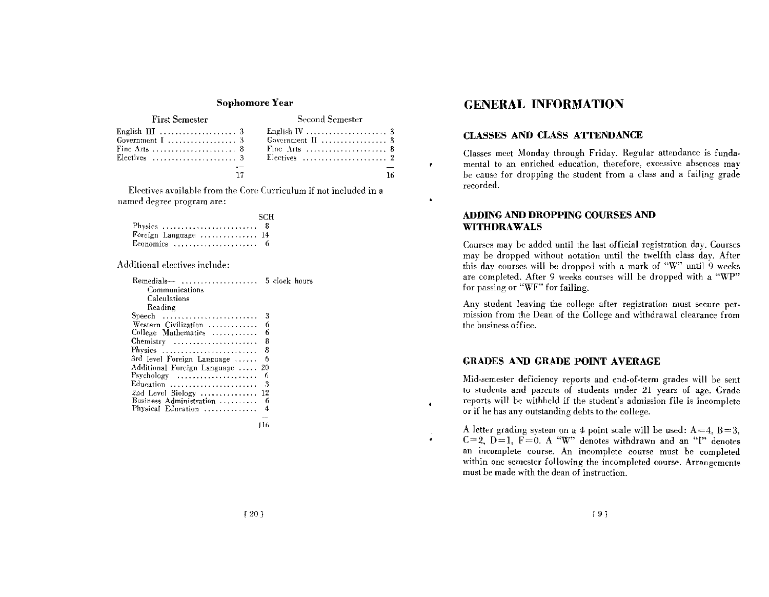#### **Sophomore Year**

| <b>First Semester</b> | Second Semester |
|-----------------------|-----------------|
| English III  3        |                 |
|                       | 16.             |

Electives available from the Core Curriculum if not included in a named degree program are:

|                      | <b>SCH</b> |
|----------------------|------------|
|                      |            |
| Foreign Language  14 |            |
|                      |            |

Additional electives include:

|                                                        |     | 5 clock hours |  |
|--------------------------------------------------------|-----|---------------|--|
| Communications                                         |     |               |  |
| Calculations                                           |     |               |  |
| Reading                                                |     |               |  |
| Speech                                                 | 3   |               |  |
| Western Civilization                                   | 6   |               |  |
| College Mathematics                                    | 6   |               |  |
| Chemistry                                              | 8   |               |  |
| Physics                                                | 8   |               |  |
| 3rd Ievel Foreign Language                             | 6   |               |  |
| Additional Foreign Language  20                        |     |               |  |
| $Psychology \dots \dots \dots \dots \dots \dots \dots$ | 6   |               |  |
| Education                                              | 3   |               |  |
| 2nd Level Biology  12                                  |     |               |  |
| Business Administration                                | 6   |               |  |
| Physical Education                                     | 4   |               |  |
|                                                        |     |               |  |
|                                                        | 116 |               |  |

## **GENERAL INFORMATION**

 $\bullet$ 

 $\Delta$ 

 $\cdot$ 

#### **CLASSES AND CLASS ATTENDANCE**

Classes meet Monday through Friday. Regular attendance is fundamental to an enriched education, therefore, excessive absences may be cause for dropping the student from a class and a failing grade recorded.

#### **ADDING AND DROPPING COURSES AND WITHDRAWALS**

Courses may be added until the last official registration day. Courses may be dropped without notation until the twelfth class day. After this day courses will be dropped with a mark of "W" until 9 weeks are completed. After 9 weeks courses will be dropped with a "WP" for passing or "WF" for failing.

Any student leaving the college after registration must secure permission from the Dean of the College and withdrawal clearance from the business office.

#### **GRADES AND GRADE POINT AVERAGE**

Mid-semester deficiency reports and end-of-term grades will be sent to students and parents of students under 21 years of age. Grade reports will be withheld if the student's admission file is incomplete or if he has any outstanding debts to the college.

A letter grading system on a 4 point scale will be used:  $A=4$ ,  $B=3$ ,  $C=2$ ,  $D=1$ ,  $F=0$ . A "W" denotes withdrawn and an "I" denotes an incomplete course. An incomplete course must be completed within one semester following the incompleted course. Arrangements must be made with the dean of instruction.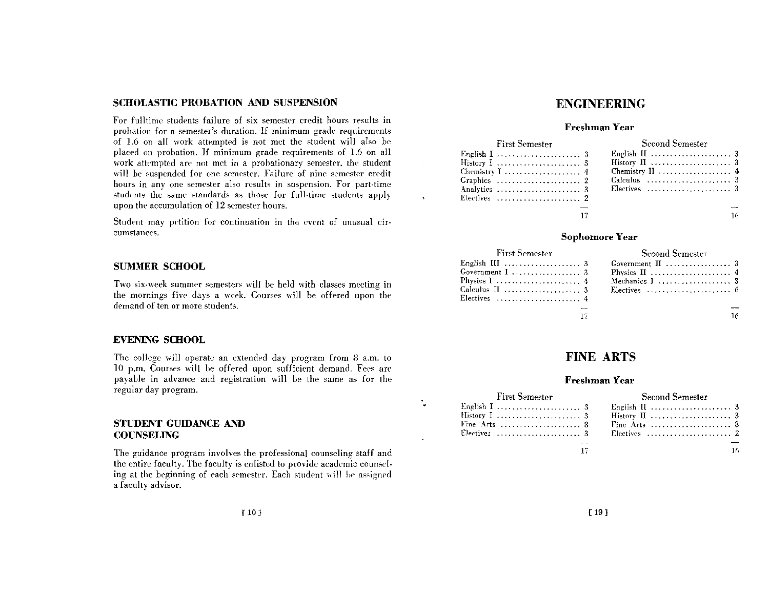#### **SCHOLASTIC PROBATION AND SUSPENSION**

For fulltime students failure of six semester credit hours results in probation for a semester's duration. If minimum grade requirements of 1.6 on all work attempted is not met the student will also be placed on probation. If minimum grade requirements of 1.6 on all work attempted are not met in a probationary semester, the student will be suspended for one semester. Failure of nine semester credit hours in any one semester also results in suspension. For part-time students the same standards as those for full-time students apply upon the accumulation of 12 semester hours.

 $\overline{a}$ 

÷

Student may petition for continuation in the event of unusual circumstances.

#### **SUMMER SCHOOL**

Two six-week summer semesters will be held with classes meeting in the mornings five days a week. Courses will be offered upon the demand of ten or more students.

#### **EVENING SCHOOL**

The college will operate an extended day program from 8 a.m. to 10 p.m. Courses will be offered upon sufficient demand. Fees are payable in advance and registration will be the same as for the regular day program.

#### **STUDENT GUIDANCE AND COUNSELING**

The guidance program involves the professional counseling staff and the entire faculty. The faculty is enlisted to provide academic counseling at the beginning of each semester. Each student will be assigned a faculty advisor.

## **ENGINEERING**

#### **Freshman Year**

| <b>First Semester</b>                          | Second Semester                                                                                                                                       |
|------------------------------------------------|-------------------------------------------------------------------------------------------------------------------------------------------------------|
| History I  3<br>Chemistry I  4<br>Electives  2 | English II $\ldots, \ldots, \ldots, \ldots, 3$<br>Chemistry II $\ldots \ldots \ldots \ldots \ldots$<br>Electives $\ldots \ldots \ldots \ldots \ldots$ |
|                                                |                                                                                                                                                       |
|                                                | 16                                                                                                                                                    |

#### **Sophomore Year**

| <b>First Semester</b>                          | Second Semester |
|------------------------------------------------|-----------------|
| English III  3<br>Physics I  4<br>Electives  4 | Mechanics I  3  |
|                                                | 16              |

## **FINE ARTS**

#### **Freshman Year**

| <b>First Semester</b> | Second Semester |
|-----------------------|-----------------|
|                       |                 |
|                       |                 |
|                       | Fine Arts  8    |
|                       |                 |
|                       |                 |
|                       |                 |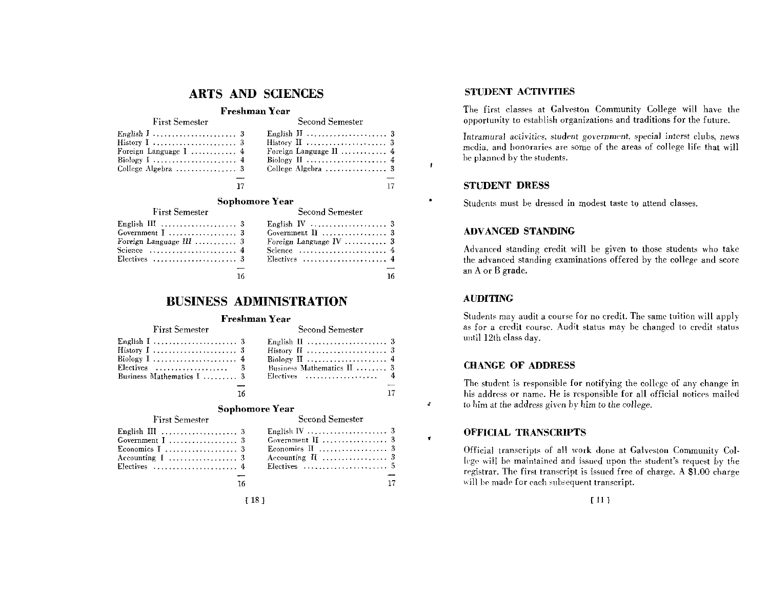## **ARTS AND SCIENCES**

#### **Freshman Year**

Second Semester

| Foreign Language I $4$                          |                                                 |  |
|-------------------------------------------------|-------------------------------------------------|--|
| College Algebra $\ldots \ldots \ldots \ldots$ 3 | College Algebra $\ldots \ldots \ldots \ldots$ 3 |  |
|                                                 |                                                 |  |
|                                                 |                                                 |  |

#### **Sophomore Year**

#### **First Semester**

 $\sim$  $\sim$ 

**First Semester** 

**First Semester** 

**Second Semester** 

 $\ddot{\phantom{0}}$ 

| English III  3<br>Government $I$ , , , , ,  3 | English IV $\ldots, \ldots, \ldots, \ldots, \ldots, 3$<br>Government II  3 |
|-----------------------------------------------|----------------------------------------------------------------------------|
|                                               | Foreign Language IV  3                                                     |
|                                               | Science $\ldots, \ldots, \ldots, \ldots, \ldots,$                          |
|                                               |                                                                            |
|                                               |                                                                            |
|                                               | - 16                                                                       |

## **BUSINESS ADMINISTRATION**

#### **Freshman Year**

| First Semester                                                             | Second Semester                             |
|----------------------------------------------------------------------------|---------------------------------------------|
| English $1, \ldots, \ldots, \ldots, \ldots, 3$<br>Business Mathematics I 3 | Business Mathematics II  3<br>$Electives$ 4 |
|                                                                            | 17                                          |

#### **Sophomore Year**

#### **Second Semester**

| Government $\text{II}$ 3<br>Economics II $\ldots \ldots \ldots \ldots$ 3<br>Accounting II $\ldots, \ldots, \ldots, 3$<br>Electives $\ldots \ldots \ldots \ldots \ldots 5$ |
|---------------------------------------------------------------------------------------------------------------------------------------------------------------------------|
|                                                                                                                                                                           |
| 17                                                                                                                                                                        |

 $[18]$ 

#### **STUDENT ACTIVITIES**

The first classes at Galveston Community College will have the opportunity to establish organizations and traditions for the future.

Intramural activities, student government, special interst clubs, news media, and honoraries are some of the areas of college life that will be planned by the students.

#### **STUDENT DRESS**

Students must be dressed in modest taste to attend classes.

#### **ADVANCED STANDING**

Advanced standing credit will be given to those students who take the advanced standing examinations offered by the college and score an A or B grade.

#### **AUDITING**

 $\mathcal{A}$ 

 $\mathbf r$ 

Students may audit a course for no credit. The same tuition will apply as for a credit course. Audit status may be changed to credit status until 12th class day.

#### **CHANGE OF ADDRESS**

The student is responsible for notifying the college of any change in his address or name. He is responsible for all official notices mailed to him at the address given by him to the college.

### **OFFICIAL TRANSCRIPTS**

Official transcripts of all work done at Galveston Community College will be maintained and issued upon the student's request by the registrar. The first transcript is issued free of charge. A \$1.00 charge will be made for each subsequent transcript.

 $[11]$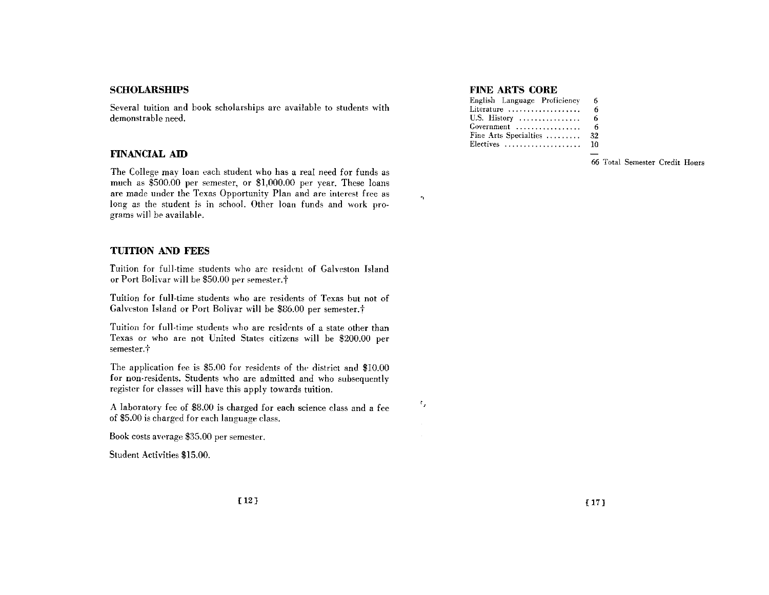#### **SCHOLARSHIPS**

Several tuition and book scholarships arc available to students with demonstrable need.

#### FINANCIAL AID

The College may loan each student who has a real need for funds as much as \$500.00 per semester, or \$1,000.00 per year. These loans are made under the Texas Opportunity Plan and are interest free as long as the student is in school. Other loan funds and work programs will be available.

#### **TUITION AND FEES**

Tuition for full-time students who are resident of Galveston Island or Port Bolivar will be \$50.00 per semester.<sup>†</sup>

Tuition for full-time students who are residents of Texas but not of Galveston Island or Port Bolivar will be \$86.00 per semester.<sup>†</sup>

Tuition for full-time students who are residents of a state other than Texas or who are not United States citizens will be \$200.00 per semester.<sup>+</sup>

The application fee is \$5.00 for residents of the district and \$10.00 for non-residents. Students who are admitted and who subsequently register for classes will have this apply towards tuition.

A laboratory fee of \$8.00 is charged for each science class and a fee of \$5.00 is charged for each language class.

Book costs average \$35.00 per semester.

Student Activities \$15.00.

#### **FINE ARTS CORE**

 $\eta$ 

л,

| English Language Proficiency               | 6   |
|--------------------------------------------|-----|
| Literature                                 | 6   |
| U.S. History                               | 6   |
| $Government \dots \dots \dots \dots \dots$ | -6  |
| Fine Arts Specialties                      | -32 |
| Electives                                  | 10  |
|                                            |     |

66 Total Semester Credit Hours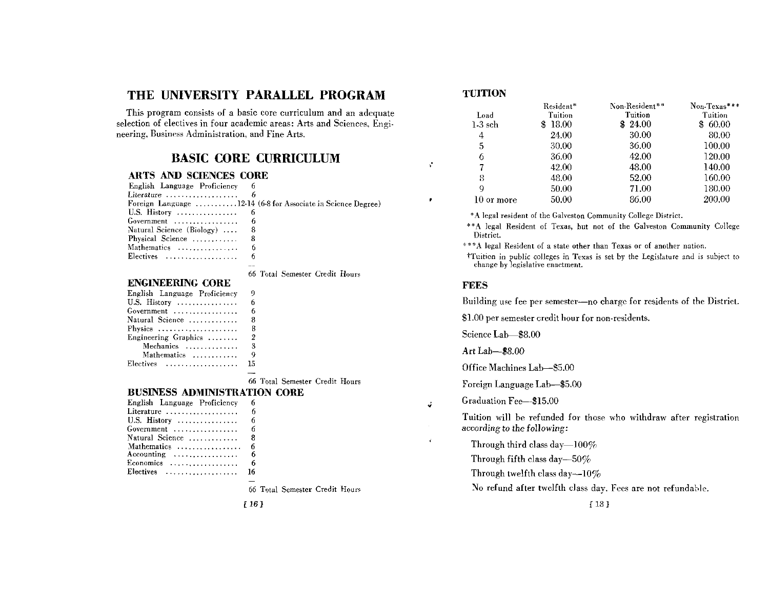## **THE UNIVERSITY PARALLEL PROGRAM**

This program consists of a basic core curriculum and an adequate selection of electives in four academic areas: Arts and Sciences. Engineering, Business Administration, and Fine Arts.

## **BASIC CORE CURRICULUM**

#### **ARTS AND SCIENCES CORE**

| English Language Proficiency 6                           |                                                              |
|----------------------------------------------------------|--------------------------------------------------------------|
| Literature $\ldots, \ldots, \ldots, \ldots, 6$           |                                                              |
|                                                          | Foreign Language 12-14 (6-8 for Associate in Science Degree) |
| U.S. History $\ldots$ , $\ldots$ , $\ldots$ , $\ldots$ 6 |                                                              |
|                                                          |                                                              |
| Natural Science (Biology)  8                             |                                                              |
|                                                          |                                                              |
| Mathematics $\ldots, \ldots, \ldots,$ 6                  |                                                              |
| Electives $6$                                            |                                                              |
|                                                          |                                                              |

66 Total Semester Credit Hours

## **ENGINEERING CORE**

| English Language Proficiency         | ŋ  |
|--------------------------------------|----|
| U.S. History                         | ń  |
| $Government \dots \dots \dots \dots$ | ñ  |
| Natural Science                      | 8  |
| Physics                              | 8  |
| Engineering Graphics                 | 2  |
| Mechanics                            | 3  |
| Mathematics                          | q  |
| Electives                            | 15 |
|                                      |    |

66 Total Semester Credit Hours

#### **BUSINESS ADMINISTRATION CORE**

| English Language Proficiency               | 6  |
|--------------------------------------------|----|
| Literature                                 | 6  |
| U.S. History                               | 6  |
| $Government \dots \dots \dots \dots$       | б  |
| Natural Science                            | 8  |
| Mathematics                                | 6  |
| $Accounting \dots \dots \dots \dots \dots$ | 6  |
| $E$ conomics                               | 6  |
| Electives                                  | 16 |
|                                            |    |

66 Total Semester Credit Hour,

#### **TUITION**

 $\mathcal{C}$ 

 $\overline{\phantom{a}}$ 

 $\mathbf{d}$ 

 $\ell$ 

| Resident* | Non-Resident** | Non-Texas*** |
|-----------|----------------|--------------|
| Tuition   | Tuition        | Tuition      |
| \$18.00   | \$24.00        | \$60.00      |
| 24.00     | 30.00          | 80.00        |
| 30.00     | 36.00          | 100.00       |
| 36.00     | 42.00          | 120.00       |
| 42.00     | 48.00          | 140.00       |
| 48.00     | 52.00          | 160.00       |
| 50.00     | 71.00          | 180.00       |
| 50.00     | 86.00          | 200.00       |
|           |                |              |

\*A legal resident of the Galveston Community College District.

\*\*A legal Resident of Texas, but not of the Galveston Community College District.

\*\*\*A legal Resident of a state other than Texas or of another nation.

~Tuition in public colleges in Texas is set by the Legislature and is subject to change by legislative enactment.

#### **FEES**

Building use fee per semester-no charge for residents of the District.

\$1.00 per semester credit hour for non-residents.

Science Lab-\$8.00

*Art Lab--S8.00*

Office Machines Lab--S5.00

Foreign Language Lab--S5.00

Graduation Fee--S15.00

Tuition will be refunded for those who withdraw after registration according *to* the *following:*

Through third class day  $-100\%$ 

Through fifth class day- $-50\%$ 

Through twelfth class day- $-10\%$ 

No refund after twelfth class day. Fees are not refundable.

{13]